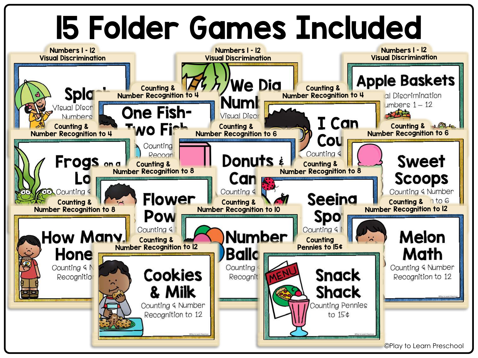## 15 Folder Games Included

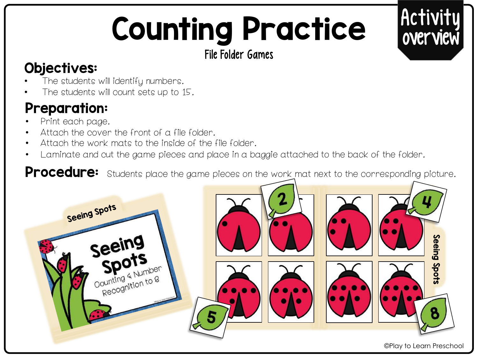# Counting Practice

Activit

overview

#### File Folder Games

### Objectives:

- The students will identify numbers.
- The students will count sets up to 15.

## Preparation:

- Print each page.
- Attach the cover the front of a file folder.
- Attach the work mats to the inside of the file folder.
- Laminate and cut the game pieces and place in a baggie attached to the back of the folder.

Procedure: Students place the game pieces on the work mat next to the corresponding picture.